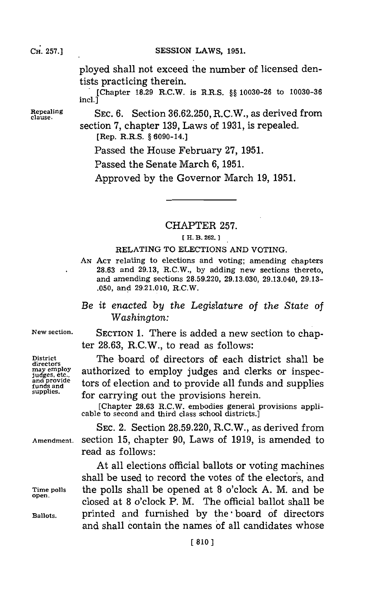## CH. **257.]**

SESSION LAWS, 1951.

ployed shall not exceed the number of licensed dentists practicing therein.

[Chapter **18.29** R.C.W. is R.R.S. **§§ 10030-26** to **10030-36**  $incl.$ ]

Repealing **SEC. 6.** Section 36.62.250, R.C.W., as derived from section **7,** chapter **139,** Laws of **1931,** is repealed. [Rep. R.R.S. **§** 6090-14.]

Passed the House February **27, 1951.**

Passed the Senate March **6, 1951.**

Approved **by** the Governor March **19, 1951.**

CHAPTER **257.**

## **[ H. B. 262.**

RELATING TO ELECTIONS **AND** VOTING.

- **AN ACT** relating to elections and voting; amending chapters **28.63** and **29.13,** R.C.W., **by** adding new sections thereto, and amending sections **28.59.220, 29.13.030,** 29.13.040, **29.13- .050,** and **29.21.010,** R.C.W.
- *Be it enacted by the Legislature of the State of Washington:*

**New section.** SECTION **1.** There is added a new section to chapter **28.63,** R.C.W., to read as follows:

District The board of directors of each district shall be may employ authorized to employ judges and clerks or inspecmay employ<br>
judges and clerks or inspec-<br>
and provide all funds and supplies<br>
funds and supplies.<br> **Supplies.**<br> **Supplies**<br> **For carrying out the provisions herein** tors of election and to provide all funds and supplies for carrying out the provisions herein.

[Chapter **28.63** R.C.W. embodies general provisions appli- cable to second and third class school districts.]

**SEC.** 2. Section **28.59.220,** R.C.W., as derived from **Amendment.** section **15,** chapter **90,** Laws of **1919,** is amended to read as follows:

At all elections official ballots or voting machines shall be used to record the votes of the electors, and **Time polls** the polls shall be opened at **8** o'clock **A.** M. and be **open.** closed at **8** o'clock P. M. The official ballot shall be **Ballots,** printed and furnished **by** the **-**board of directors and shall contain the names of all candidates whose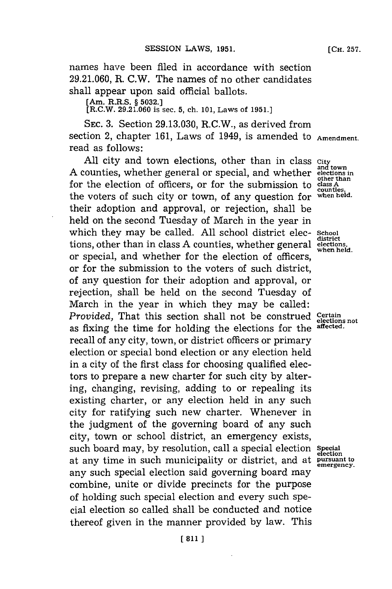names have been filed in accordance with section **29.21.060,** R. C.W. The names of no other candidates shall appear upon said official ballots.

**[Am. R.R.S. § 5032.]**

[R.C.W. **29.21.060 is sec. 5, ch. 101, Laws of 1951.]**

**SEC. 3.** Section **29.13.030,** R.C.W., as derived from section 2, chapter **161,** Laws of 1949, is amended to **Amendment.** read as follows:

All city and town elections, other than in class *city* and town counties, whether general or special, and whether elections in other than A counties, whether general or special, and whether for the election of officers, or for the submission to class A<sup>T</sup> counties **counties,** the voters of such city or town, of any question for **when held.** their adoption and approval, or rejection, shall be held on the second Tuesday of March in the year in which they may be called. **All** school district elec- **School district** tions, other than in class **A** counties, whether general **elections, when held.** or special, and whether for the election of officers, or for the submission to the voters of such district, of any question for their adoption and approval, or rejection, shall be held on the second Tuesday of March in the year in which they may be called: *Provided,* That this section shall not be construed *Certain* not be *elections* not algebra affected. as fixing the time for holding the elections for the recall of any city, town, or district officers or primary election or special bond election or any election held in a city of the first class **for** choosing qualified electors to prepare a new charter **for** such city **by** altering, changing, revising, adding to or repealing its existing charter, or any election held in any such city for ratifying such new charter. Whenever in the judgment of the governing board of any such city, town or school district, an emergency exists, such board may, **by** resolution, call a special election **Special** at any time in such municipality or district, and at **pursuant to** any such special election said governing board may combine, unite or divide precincts for the purpose of holding such special election and every such special election so called shall be conducted and notice thereof given in the manner provided **by** law. This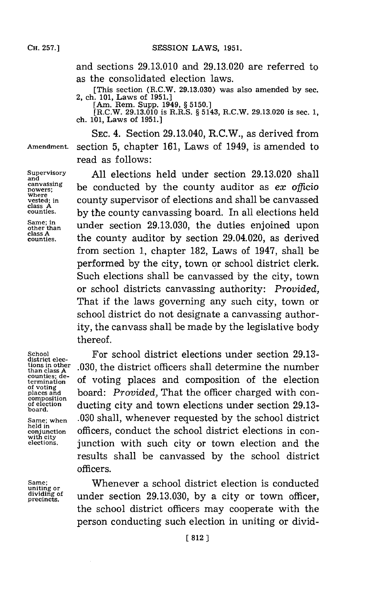**and**

**class A**

**class A**

and sections **29.13.010** and **29.13.020** are referred to as the consolidated election laws.

[This section (R.C.W. **29.13.030)** was also amended **by** sec. 2, ch. **101,** Laws of **1951.]**

[Am. Rem. Supp. 1949, **§ 5150.]**

[R.C.W. **29.13.010** is R.R.S. **§** 5143, R.C.W. **29.13.020** is sec. **1,** ch. **101,** Laws of **1951.]**

**SEC.** 4. Section 29.13.040, R.C.W., as derived from **Amendment.** section **5,** chapter **161,** Laws of 1949, is amended to read as follows:

**Supervisory All** elections held under section **29.13.020** shall **canvassing**<br> **powers;**<br> **powers;**<br> **powers;**<br> **powers;**<br> **powers;**<br> **powers;**<br> **powers; vested; in** county supervisor of elections and shall be canvassed by the county canvassing board. In all elections held Same; in under section 29.13.030, the duties enjoined upon the county auditor by section 29.04.020, as derived from section **1,** chapter **182,** Laws of 1947, shall be performed **by** the city, town or school district clerk. Such elections shall be canvassed **by** the city, town or school districts canvassing authority: *Provided,* That if the laws governing any such city, town or school district do not designate a canvassing authority, the canvass shall be made **by** the legislative body thereof.

**composition board.**

**school For school district elections under section 29.13-** district elections in other .030, the district officers shall determine the number<br>than class A<sup>c</sup> estimate in the number counties; details and commention of the clasticular **counties; de-** of voting places and composition of the election of voting **of voting places and** board: *Provided,* That the officer charged with con**of election** ducting city and town elections under section **29.13- Same; when .030** shall, whenever requested **by** the school district resumed **contained in the school district elections** in con-<br>with city **with city elections,** junction with such city or town election and the results shall be canvassed **by** the school district officers.

Same; **Whenever a school district election is conducted** uniting or dividing of **under section 29.13.030**, by a city or town officer, the school district officers may cooperate with the person conducting such election in uniting or divid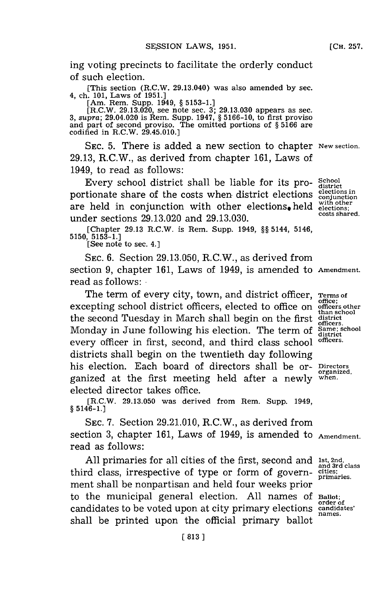ing voting precincts to facilitate the orderly conduct of such election.

[This section (R.C.W. 29.13.040) was also amended **by** sec. 4, ch. **101,** Laws of **1951.]**

[Am. Rem. Supp. 1949, § 5153-1.]<br>[R.C.W. 29.13.020, see note sec. 3; 29.13.030 appears as sec.<br>3, supra; 29.04.020 is Rem. Supp. 1947, § 5166-10, to first proviso<br>and part of second proviso. The omitted portions of § 5166

**SEC. 5.** There is added a new section to chapter **New section. 29.13,** R.C.W., as derived from chapter **161,** Laws of 1949, to read as follows:

Every school district shall be liable for its pro- **School** portionate share of the costs when district elections **conjunction** are held in conjunction with other elections, held  $_{\rm electrons,}^{\rm with\;o the}$ under sections **29.13.020** and **29.13.030. costs shared.**

[Chapter 29.13 R.C.W. is Rem. Supp. 1949, §§ 5144, 5146,  $5150, 5153-1.$  [See note to sec. 4.]

**SEC. 6.** Section **29.13.050,** R.C.W., as derived from section **9,** chapter **161,** Laws of 1949, is amended to **Amendment.** read as follows:

The term of every city, town, and district officer, **Terms of** excepting school district officers, elected to office on officers other the second Tuesday in March shall begin on the first Monday in June following his election. The term of Same; school and the district of the same; school every officer in first, second, and third class school officers. districts shall begin on the twentieth day following his election. Each board of directors shall be or- **Directors** ganized at the first meeting held after a newly **when.** elected director takes office.

[R.C.W. **29.13.050** was derived from Rem. Supp. 1949, **§** 5146-1.]

**SEC. 7.** Section **29.21.010,** R.C.W., as derived from section **3,** chapter **161,** Laws of 1949, is amended to **Amendment.** read as follows:

All primaries for all cities of the first, second and **Ist, 2nd**, and 3rd class third class, irrespective of type or form of govern- **cities;** ment shall be nonpartisan and held four weeks prior to the municipal general election. **All** names **Of Ballot;** candidates to be voted upon at city primary elections **candidates'** shall be printed upon the official primary ballot

**than school**

**organized,**

**primaries.**

**order of names.**